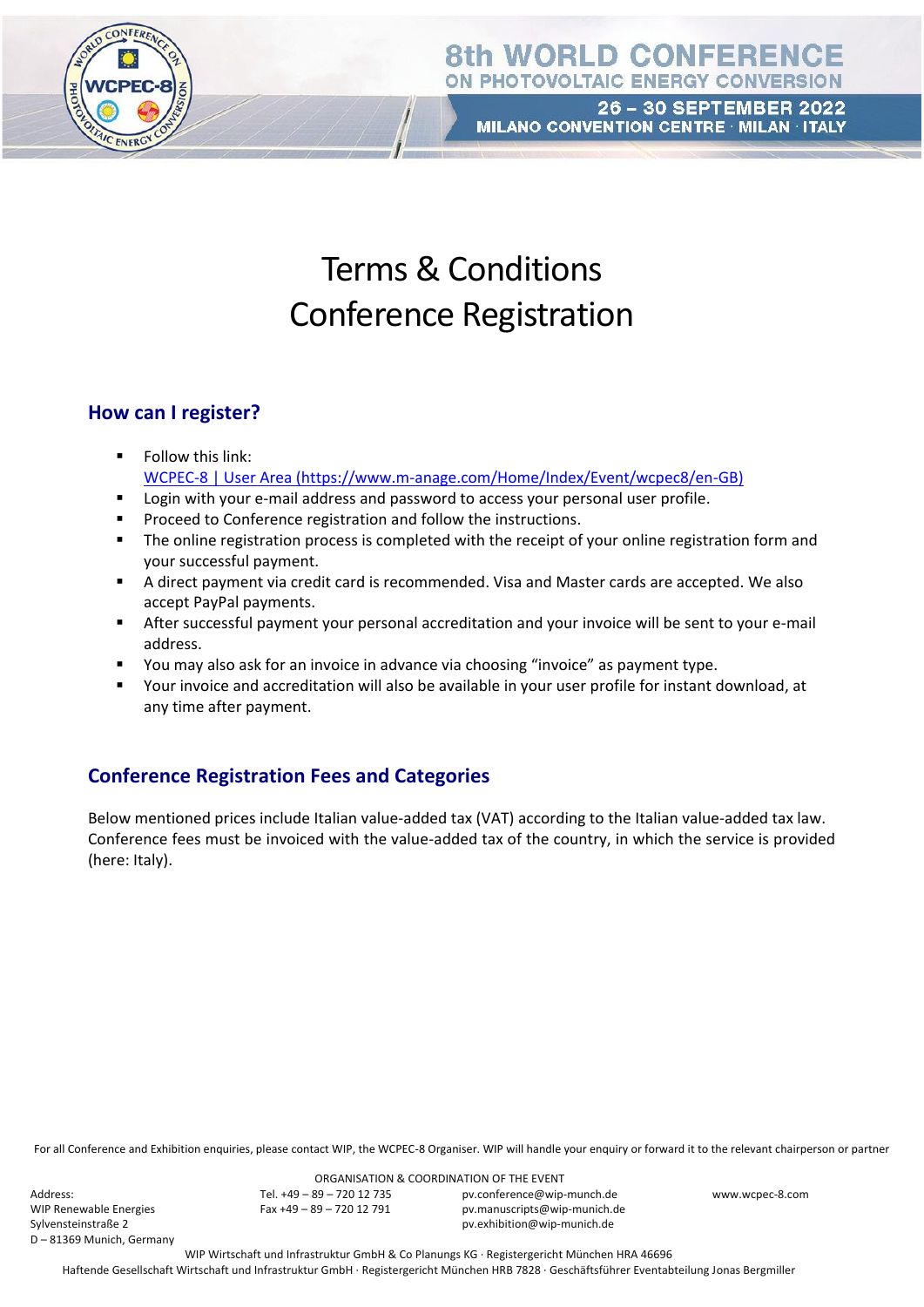

26 - 30 SEPTEMBER 2022 MILANO CONVENTION CENTRE · MILAN · ITALY

# Terms & Conditions Conference Registration

### **How can I register?**

- Follow this link: [WCPEC-8 | User Area](https://hammerag-my.sharepoint.com/personal/melanie_kern_wip-munich_de/Documents/Anlagen/WCPEC-8%20|%20User%20Area) (https://www.m-anage.com/Home/Index/Event/wcpec8/en-GB)
- Login with your e-mail address and password to access your personal user profile.
- Proceed to Conference registration and follow the instructions.
- **•** The online registration process is completed with the receipt of your online registration form and your successful payment.
- A direct payment via credit card is recommended. Visa and Master cards are accepted. We also accept PayPal payments.
- After successful payment your personal accreditation and your invoice will be sent to your e-mail address.
- You may also ask for an invoice in advance via choosing "invoice" as payment type.
- Your invoice and accreditation will also be available in your user profile for instant download, at any time after payment.

# **Conference Registration Fees and Categories**

Below mentioned prices include Italian value-added tax (VAT) according to the Italian value-added tax law. Conference fees must be invoiced with the value-added tax of the country, in which the service is provided (here: Italy).

For all Conference and Exhibition enquiries, please contact WIP, the WCPEC-8 Organiser. WIP will handle your enquiry or forward it to the relevant chairperson or partner

Address: WIP Renewable Energies Sylvensteinstraße 2 D – 81369 Munich, Germany

ORGANISATION & COORDINATION OF THE EVENT Tel. +49 – 89 – 720 12 735 Fax +49 – 89 – 720 12 791

pv.conference@wip-munch.de pv.manuscripts@wip-munich.de pv.exhibition@wip-munich.de

www.wcpec-8.com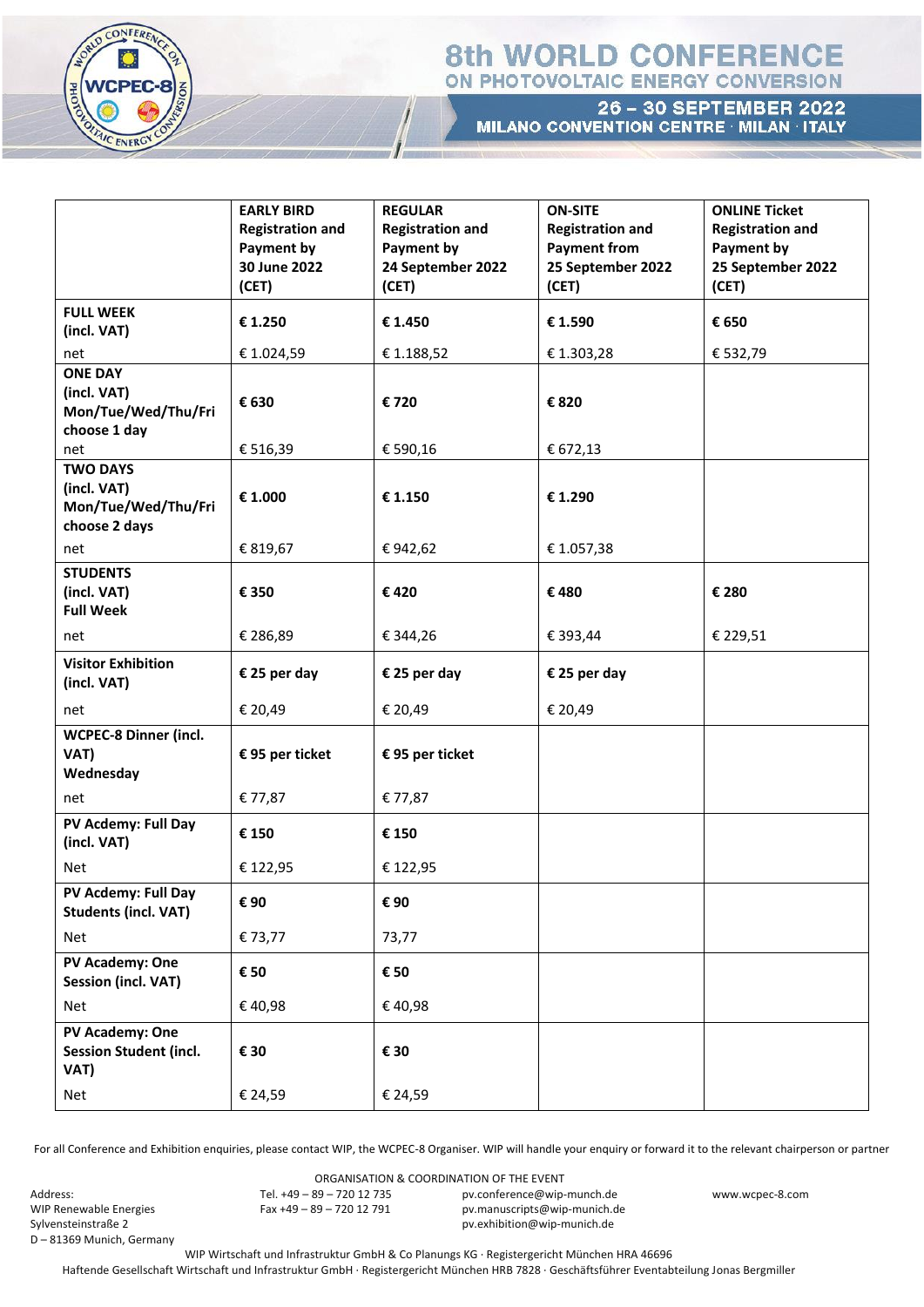

26 - 30 SEPTEMBER 2022 MILANO CONVENTION CENTRE · MILAN · ITALY

|                                                    | <b>EARLY BIRD</b><br><b>Registration and</b> | <b>REGULAR</b><br><b>Registration and</b> | <b>ON-SITE</b><br><b>Registration and</b> | <b>ONLINE Ticket</b><br><b>Registration and</b> |
|----------------------------------------------------|----------------------------------------------|-------------------------------------------|-------------------------------------------|-------------------------------------------------|
|                                                    | Payment by                                   | <b>Payment by</b>                         | <b>Payment from</b>                       | <b>Payment by</b>                               |
|                                                    | 30 June 2022                                 | 24 September 2022                         | 25 September 2022                         | 25 September 2022                               |
|                                                    | (CET)                                        | (CET)                                     | (CET)                                     | (CET)                                           |
| <b>FULL WEEK</b>                                   |                                              |                                           |                                           |                                                 |
| (incl. VAT)                                        | € 1.250                                      | € 1.450                                   | € 1.590                                   | € 650                                           |
| net                                                | € 1.024,59                                   | € 1.188,52                                | € 1.303,28                                | € 532,79                                        |
| <b>ONE DAY</b>                                     |                                              |                                           |                                           |                                                 |
| (incl. VAT)                                        | € 630                                        | €720                                      | € 820                                     |                                                 |
| Mon/Tue/Wed/Thu/Fri<br>choose 1 day                |                                              |                                           |                                           |                                                 |
| net                                                | € 516,39                                     | € 590,16                                  | € 672,13                                  |                                                 |
| <b>TWO DAYS</b>                                    |                                              |                                           |                                           |                                                 |
| (incl. VAT)                                        | € 1.000                                      | € 1.150                                   | € 1.290                                   |                                                 |
| Mon/Tue/Wed/Thu/Fri                                |                                              |                                           |                                           |                                                 |
| choose 2 days                                      |                                              |                                           |                                           |                                                 |
| net                                                | € 819,67                                     | €942,62                                   | € 1.057,38                                |                                                 |
| <b>STUDENTS</b><br>(incl. VAT)                     |                                              |                                           |                                           |                                                 |
| <b>Full Week</b>                                   | € 350                                        | €420                                      | €480                                      | € 280                                           |
| net                                                | € 286,89                                     | € 344,26                                  | € 393,44                                  | € 229,51                                        |
| <b>Visitor Exhibition</b>                          |                                              |                                           |                                           |                                                 |
| (incl. VAT)                                        | € 25 per day                                 | € 25 per day                              | € 25 per day                              |                                                 |
| net                                                | € 20,49                                      | € 20,49                                   | € 20,49                                   |                                                 |
| <b>WCPEC-8 Dinner (incl.</b>                       |                                              |                                           |                                           |                                                 |
| VAT)<br>Wednesday                                  | € 95 per ticket                              | € 95 per ticket                           |                                           |                                                 |
| net                                                | € 77,87                                      | € 77,87                                   |                                           |                                                 |
|                                                    |                                              |                                           |                                           |                                                 |
| PV Acdemy: Full Day<br>(incl. VAT)                 | € 150                                        | € 150                                     |                                           |                                                 |
| Net                                                | € 122,95                                     | € 122,95                                  |                                           |                                                 |
| PV Acdemy: Full Day<br><b>Students (incl. VAT)</b> | € 90                                         | € 90                                      |                                           |                                                 |
| Net                                                | € 73,77                                      | 73,77                                     |                                           |                                                 |
| PV Academy: One<br><b>Session (incl. VAT)</b>      | € 50                                         | € 50                                      |                                           |                                                 |
| Net                                                | €40,98                                       | €40,98                                    |                                           |                                                 |
| PV Academy: One                                    |                                              |                                           |                                           |                                                 |
| <b>Session Student (incl.</b><br>VAT)              | € 30                                         | € 30                                      |                                           |                                                 |
| Net                                                | € 24,59                                      | € 24,59                                   |                                           |                                                 |

For all Conference and Exhibition enquiries, please contact WIP, the WCPEC-8 Organiser. WIP will handle your enquiry or forward it to the relevant chairperson or partner

Address: WIP Renewable Energies Sylvensteinstraße 2 D – 81369 Munich, Germany

ORGANISATION & COORDINATION OF THE EVENT Tel. +49 – 89 – 720 12 735 Fax +49 – 89 – 720 12 791

pv.conference@wip-munch.de pv.manuscripts@wip-munich.de pv.exhibition@wip-munich.de

www.wcpec-8.com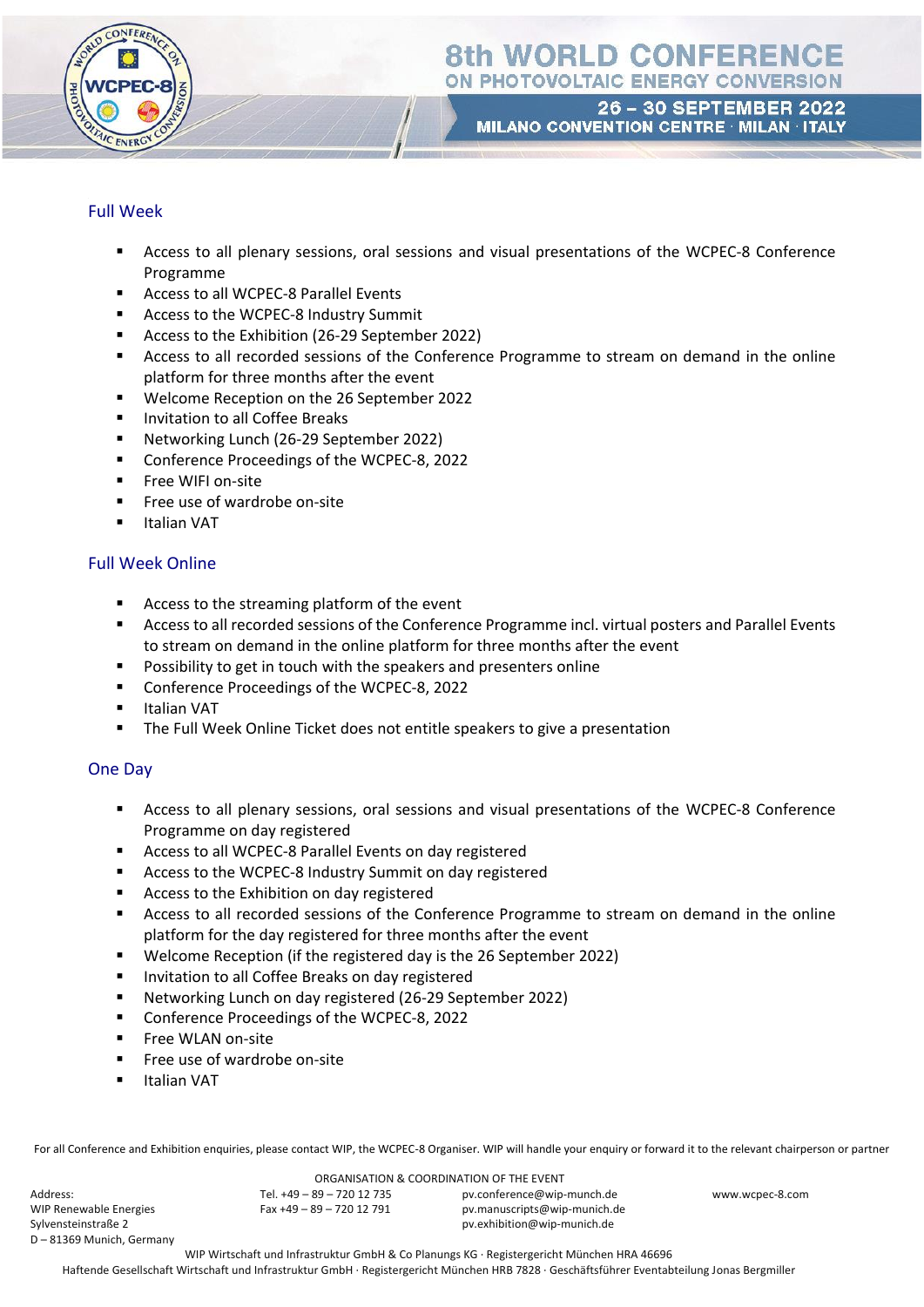

26 - 30 SEPTEMBER 2022 MILANO CONVENTION CENTRE · MILAN · ITALY

### Full Week

- Access to all plenary sessions, oral sessions and visual presentations of the WCPEC-8 Conference Programme
- Access to all WCPEC-8 Parallel Events
- Access to the WCPEC-8 Industry Summit
- Access to the Exhibition (26-29 September 2022)
- **EXEC** Access to all recorded sessions of the Conference Programme to stream on demand in the online platform for three months after the event
- Welcome Reception on the 26 September 2022
- Invitation to all Coffee Breaks
- Networking Lunch (26-29 September 2022)
- Conference Proceedings of the WCPEC-8, 2022
- **·** Free WIFI on-site
- Free use of wardrobe on-site
- Italian VAT

### Full Week Online

- Access to the streaming platform of the event
- Access to all recorded sessions of the Conference Programme incl. virtual posters and Parallel Events to stream on demand in the online platform for three months after the event
- Possibility to get in touch with the speakers and presenters online
- Conference Proceedings of the WCPEC-8, 2022
- Italian VAT
- The Full Week Online Ticket does not entitle speakers to give a presentation

#### One Day

- **EXEC** Access to all plenary sessions, oral sessions and visual presentations of the WCPEC-8 Conference Programme on day registered
- Access to all WCPEC-8 Parallel Events on day registered
- Access to the WCPEC-8 Industry Summit on day registered
- Access to the Exhibition on day registered
- **EXEC** Access to all recorded sessions of the Conference Programme to stream on demand in the online platform for the day registered for three months after the event
- Welcome Reception (if the registered day is the 26 September 2022)
- Invitation to all Coffee Breaks on day registered
- Networking Lunch on day registered (26-29 September 2022)
- Conference Proceedings of the WCPEC-8, 2022
- Free WLAN on-site
- Free use of wardrobe on-site
- Italian VAT

For all Conference and Exhibition enquiries, please contact WIP, the WCPEC-8 Organiser. WIP will handle your enquiry or forward it to the relevant chairperson or partner

Address: WIP Renewable Energies Sylvensteinstraße 2 D – 81369 Munich, Germany

ORGANISATION & COORDINATION OF THE EVENT Tel. +49 – 89 – 720 12 735 Fax +49 – 89 – 720 12 791 pv.conference@wip-munch.de pv.manuscripts@wip-munich.de pv.exhibition@wip-munich.de

www.wcpec-8.com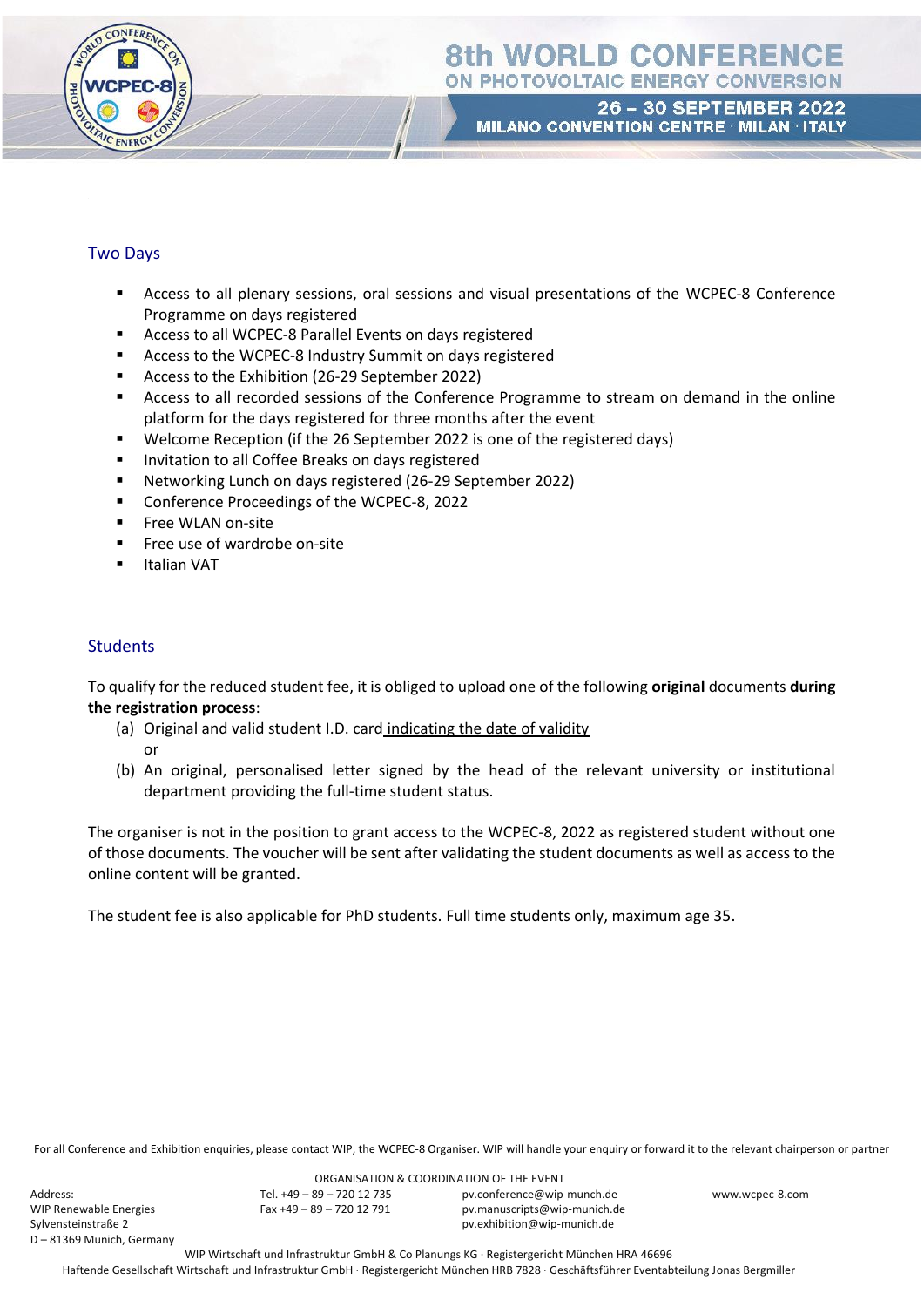

26 - 30 SEPTEMBER 2022 MILANO CONVENTION CENTRE · MILAN · ITALY

### Two Days

- Access to all plenary sessions, oral sessions and visual presentations of the WCPEC-8 Conference Programme on days registered
- Access to all WCPEC-8 Parallel Events on days registered
- Access to the WCPEC-8 Industry Summit on days registered
- Access to the Exhibition (26-29 September 2022)
- Access to all recorded sessions of the Conference Programme to stream on demand in the online platform for the days registered for three months after the event
- Welcome Reception (if the 26 September 2022 is one of the registered days)
- Invitation to all Coffee Breaks on days registered
- Networking Lunch on days registered (26-29 September 2022)
- Conference Proceedings of the WCPEC-8, 2022
- **■** Free WLAN on-site
- Free use of wardrobe on-site
- **Italian VAT**

### **Students**

To qualify for the reduced student fee, it is obliged to upload one of the following **original** documents **during the registration process**:

- (a) Original and valid student I.D. card indicating the date of validity or
- (b) An original, personalised letter signed by the head of the relevant university or institutional department providing the full-time student status.

The organiser is not in the position to grant access to the WCPEC-8, 2022 as registered student without one of those documents. The voucher will be sent after validating the student documents as well as access to the online content will be granted.

The student fee is also applicable for PhD students. Full time students only, maximum age 35.

For all Conference and Exhibition enquiries, please contact WIP, the WCPEC-8 Organiser. WIP will handle your enquiry or forward it to the relevant chairperson or partner

Address: WIP Renewable Energies Sylvensteinstraße 2 D – 81369 Munich, Germany

ORGANISATION & COORDINATION OF THE EVENT Tel. +49 – 89 – 720 12 735 Fax +49 – 89 – 720 12 791

pv.conference@wip-munch.de pv.manuscripts@wip-munich.de pv.exhibition@wip-munich.de

www.wcpec-8.com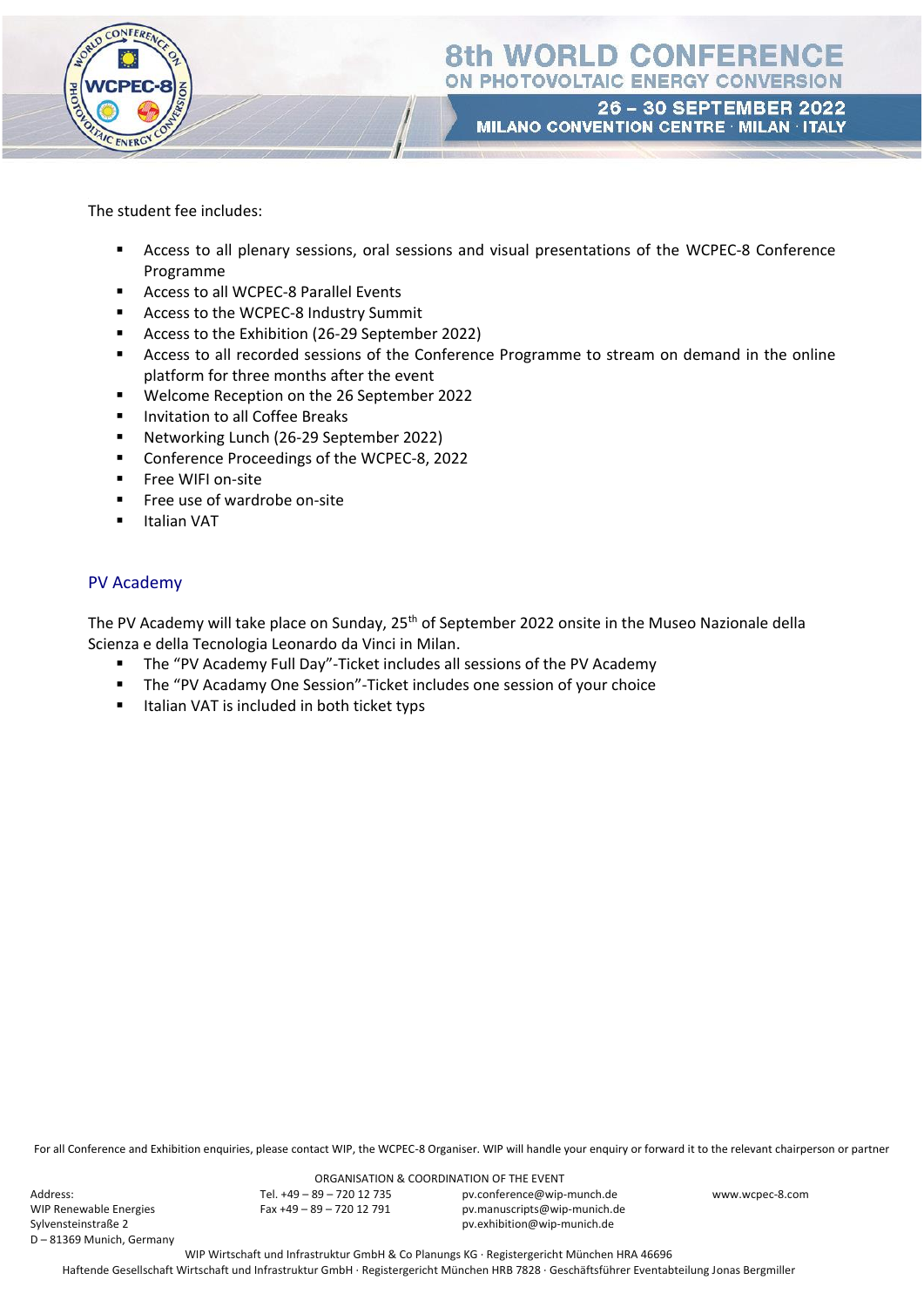

26 - 30 SEPTEMBER 2022 MILANO CONVENTION CENTRE · MILAN · ITALY

The student fee includes:

- Access to all plenary sessions, oral sessions and visual presentations of the WCPEC-8 Conference Programme
- Access to all WCPEC-8 Parallel Events
- Access to the WCPEC-8 Industry Summit
- Access to the Exhibition (26-29 September 2022)
- Access to all recorded sessions of the Conference Programme to stream on demand in the online platform for three months after the event
- Welcome Reception on the 26 September 2022
- Invitation to all Coffee Breaks
- Networking Lunch (26-29 September 2022)
- Conference Proceedings of the WCPEC-8, 2022
- Free WIFI on-site
- **Filter** Free use of wardrobe on-site
- Italian VAT

### PV Academy

The PV Academy will take place on Sunday, 25<sup>th</sup> of September 2022 onsite in the Museo Nazionale della Scienza e della Tecnologia Leonardo da Vinci in Milan.

- The "PV Academy Full Day"-Ticket includes all sessions of the PV Academy
- The "PV Acadamy One Session"-Ticket includes one session of your choice
- Italian VAT is included in both ticket typs

For all Conference and Exhibition enquiries, please contact WIP, the WCPEC-8 Organiser. WIP will handle your enquiry or forward it to the relevant chairperson or partner

Address: WIP Renewable Energies Sylvensteinstraße 2 D – 81369 Munich, Germany

ORGANISATION & COORDINATION OF THE EVENT Tel. +49 – 89 – 720 12 735 Fax +49 – 89 – 720 12 791

pv.conference@wip-munch.de pv.manuscripts@wip-munich.de pv.exhibition@wip-munich.de

www.wcpec-8.com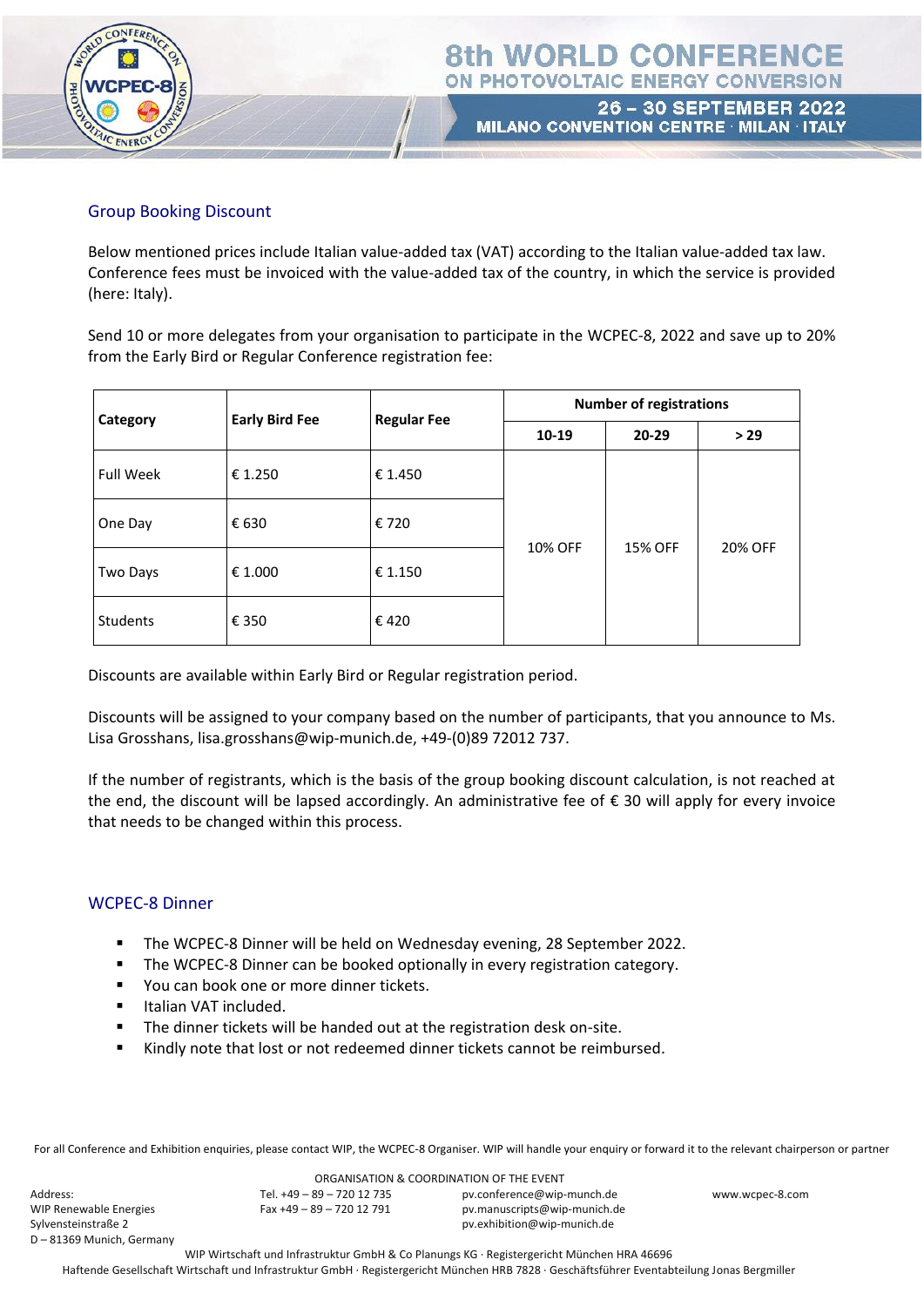

### Group Booking Discount

Below mentioned prices include Italian value-added tax (VAT) according to the Italian value-added tax law. Conference fees must be invoiced with the value-added tax of the country, in which the service is provided (here: Italy).

Send 10 or more delegates from your organisation to participate in the WCPEC-8, 2022 and save up to 20% from the Early Bird or Regular Conference registration fee:

| Category         | <b>Early Bird Fee</b> | <b>Regular Fee</b> | <b>Number of registrations</b> |           |         |
|------------------|-----------------------|--------------------|--------------------------------|-----------|---------|
|                  |                       |                    | 10-19                          | $20 - 29$ | >29     |
| <b>Full Week</b> | € 1.250               | € 1.450            | 10% OFF                        | 15% OFF   | 20% OFF |
| One Day          | € 630                 | € 720              |                                |           |         |
| Two Days         | € 1.000               | € 1.150            |                                |           |         |
| Students         | € 350                 | €420               |                                |           |         |

Discounts are available within Early Bird or Regular registration period.

Discounts will be assigned to your company based on the number of participants, that you announce to Ms. Lisa Grosshans, lisa.grosshans@wip-munich.de, +49-(0)89 72012 737.

If the number of registrants, which is the basis of the group booking discount calculation, is not reached at the end, the discount will be lapsed accordingly. An administrative fee of  $\epsilon$  30 will apply for every invoice that needs to be changed within this process.

#### WCPEC-8 Dinner

- The WCPEC-8 Dinner will be held on Wednesday evening, 28 September 2022.
- The WCPEC-8 Dinner can be booked optionally in every registration category.
- You can book one or more dinner tickets.
- **·** Italian VAT included.
- The dinner tickets will be handed out at the registration desk on-site.
- Kindly note that lost or not redeemed dinner tickets cannot be reimbursed.

For all Conference and Exhibition enquiries, please contact WIP, the WCPEC-8 Organiser. WIP will handle your enquiry or forward it to the relevant chairperson or partner

Address: WIP Renewable Energies Sylvensteinstraße 2 D – 81369 Munich, Germany

ORGANISATION & COORDINATION OF THE EVENT Tel. +49 – 89 – 720 12 735 Fax +49 – 89 – 720 12 791

pv.conference@wip-munch.de pv.manuscripts@wip-munich.de pv.exhibition@wip-munich.de

www.wcpec-8.com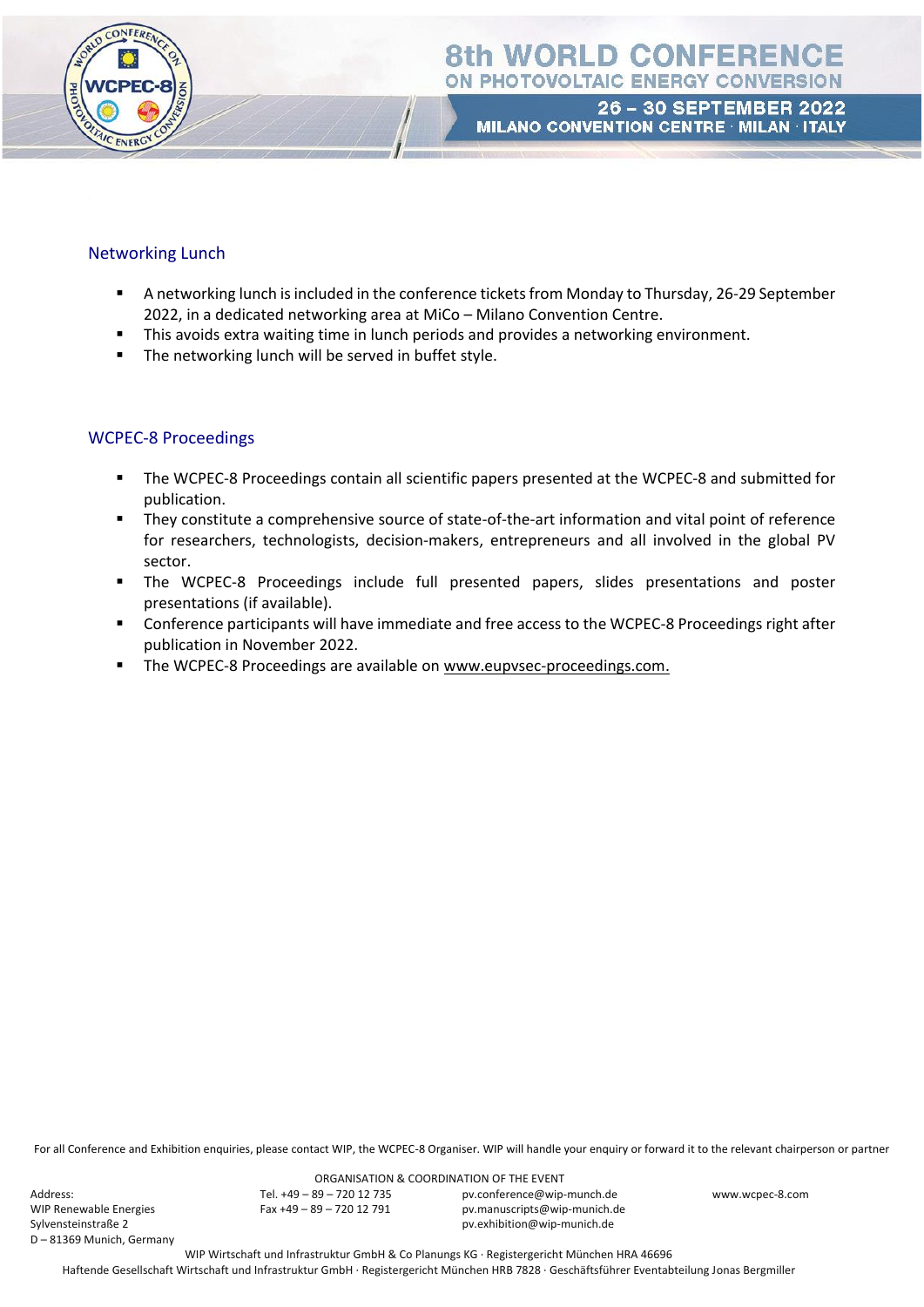

#### Networking Lunch

- A networking lunch is included in the conference tickets from Monday to Thursday, 26-29 September 2022, in a dedicated networking area at MiCo – Milano Convention Centre.
- **■** This avoids extra waiting time in lunch periods and provides a networking environment.
- The networking lunch will be served in buffet style.

### WCPEC-8 Proceedings

- The WCPEC-8 Proceedings contain all scientific papers presented at the WCPEC-8 and submitted for publication.
- They constitute a comprehensive source of state-of-the-art information and vital point of reference for researchers, technologists, decision-makers, entrepreneurs and all involved in the global PV sector.
- The WCPEC-8 Proceedings include full presented papers, slides presentations and poster presentations (if available).
- Conference participants will have immediate and free access to the WCPEC-8 Proceedings right after publication in November 2022.
- The WCPEC-8 Proceedings are available on [www.eupvsec-proceedings.com.](http://www.eupvsec-proceedings.com/)

For all Conference and Exhibition enquiries, please contact WIP, the WCPEC-8 Organiser. WIP will handle your enquiry or forward it to the relevant chairperson or partner

Address: WIP Renewable Energies Sylvensteinstraße 2 D – 81369 Munich, Germany

ORGANISATION & COORDINATION OF THE EVENT Tel. +49 – 89 – 720 12 735 Fax +49 – 89 – 720 12 791

pv.conference@wip-munch.de pv.manuscripts@wip-munich.de pv.exhibition@wip-munich.de

www.wcpec-8.com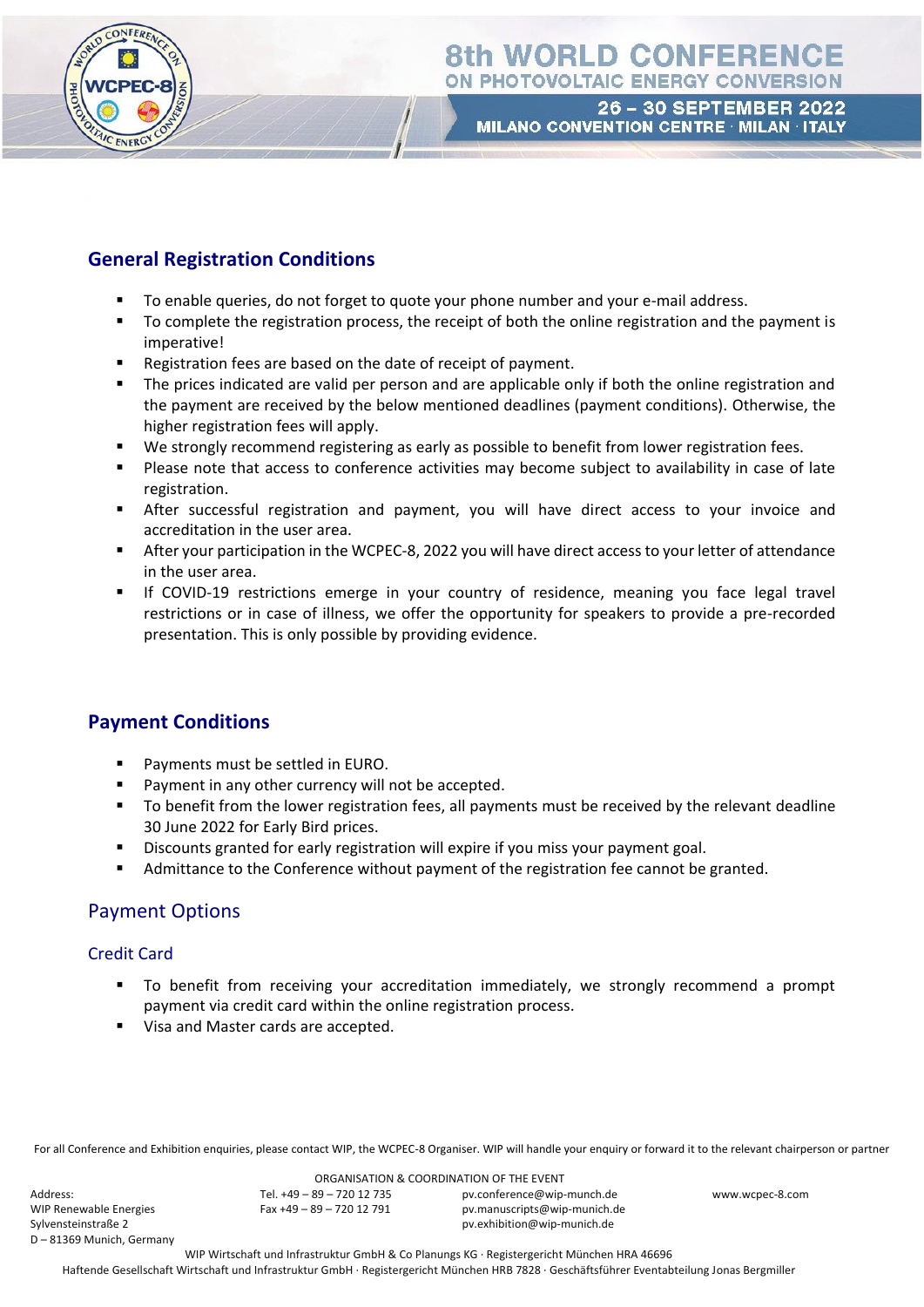

### **General Registration Conditions**

- To enable queries, do not forget to quote your phone number and your e-mail address.
- To complete the registration process, the receipt of both the online registration and the payment is imperative!
- Registration fees are based on the date of receipt of payment.
- The prices indicated are valid per person and are applicable only if both the online registration and the payment are received by the below mentioned deadlines (payment conditions). Otherwise, the higher registration fees will apply.
- We strongly recommend registering as early as possible to benefit from lower registration fees.
- Please note that access to conference activities may become subject to availability in case of late registration.
- **E** After successful registration and payment, you will have direct access to your invoice and accreditation in the user area.
- After your participation in the WCPEC-8, 2022 you will have direct access to your letter of attendance in the user area.
- **■** If COVID-19 restrictions emerge in your country of residence, meaning you face legal travel restrictions or in case of illness, we offer the opportunity for speakers to provide a pre-recorded presentation. This is only possible by providing evidence.

### **Payment Conditions**

- Payments must be settled in EURO.
- Payment in any other currency will not be accepted.
- To benefit from the lower registration fees, all payments must be received by the relevant deadline 30 June 2022 for Early Bird prices.
- Discounts granted for early registration will expire if you miss your payment goal.
- Admittance to the Conference without payment of the registration fee cannot be granted.

### Payment Options

#### Credit Card

- To benefit from receiving your accreditation immediately, we strongly recommend a prompt payment via credit card within the online registration process.
- Visa and Master cards are accepted.

For all Conference and Exhibition enquiries, please contact WIP, the WCPEC-8 Organiser. WIP will handle your enquiry or forward it to the relevant chairperson or partner

Address: WIP Renewable Energies Sylvensteinstraße 2 D – 81369 Munich, Germany

ORGANISATION & COORDINATION OF THE EVENT Tel. +49 – 89 – 720 12 735 Fax +49 – 89 – 720 12 791

pv.conference@wip-munch.de pv.manuscripts@wip-munich.de pv.exhibition@wip-munich.de

www.wcpec-8.com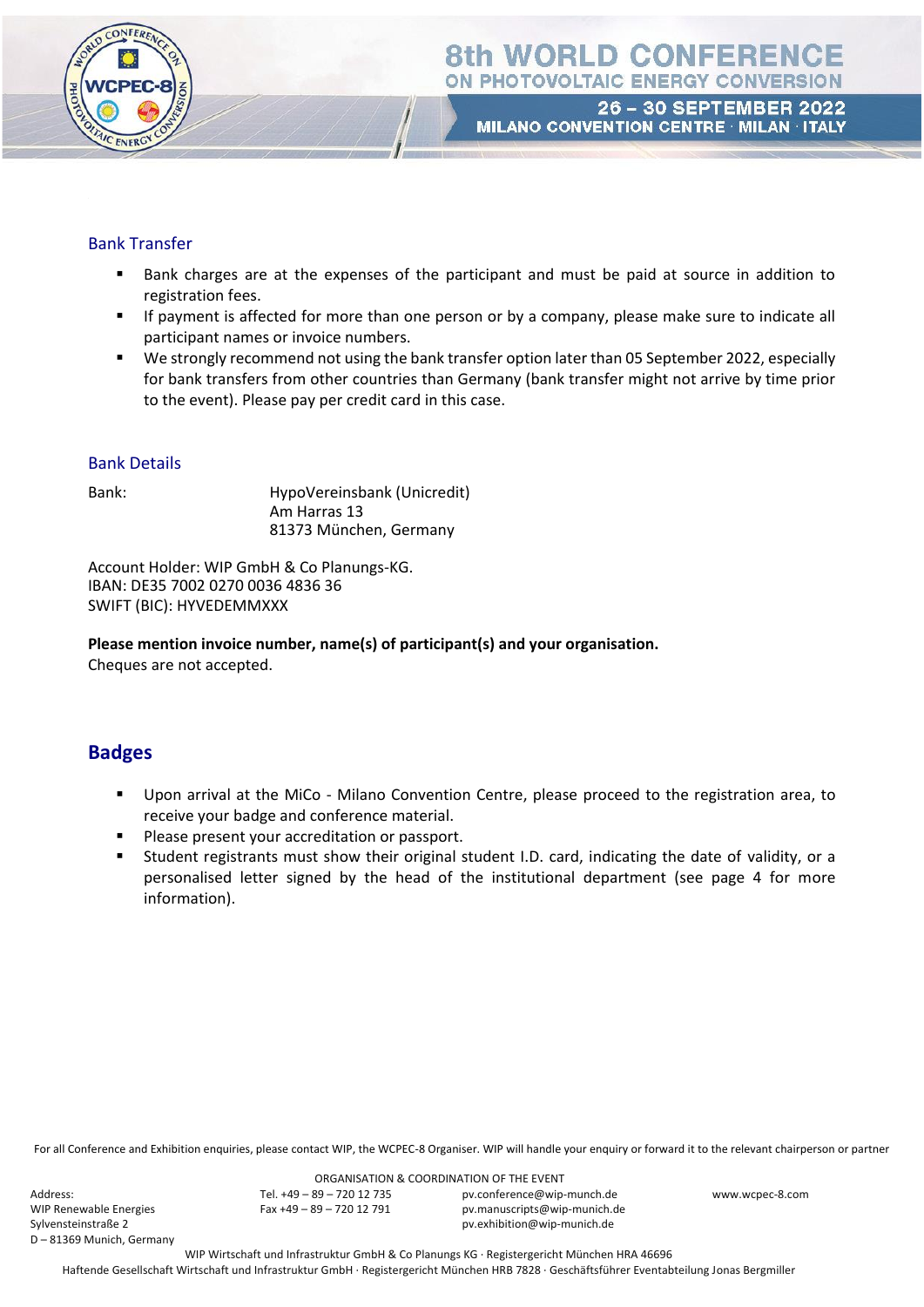

### Bank Transfer

- Bank charges are at the expenses of the participant and must be paid at source in addition to registration fees.
- **EXECT** If payment is affected for more than one person or by a company, please make sure to indicate all participant names or invoice numbers.
- We strongly recommend not using the bank transfer option later than 05 September 2022, especially for bank transfers from other countries than Germany (bank transfer might not arrive by time prior to the event). Please pay per credit card in this case.

### Bank Details

Bank: HypoVereinsbank (Unicredit) Am Harras 13 81373 München, Germany

Account Holder: WIP GmbH & Co Planungs-KG. IBAN: DE35 7002 0270 0036 4836 36 SWIFT (BIC): HYVEDEMMXXX

**Please mention invoice number, name(s) of participant(s) and your organisation.** Cheques are not accepted.

### **Badges**

- Upon arrival at the MiCo Milano Convention Centre, please proceed to the registration area, to receive your badge and conference material.
- Please present your accreditation or passport.
- Student registrants must show their original student I.D. card, indicating the date of validity, or a personalised letter signed by the head of the institutional department (see page 4 for more information).

For all Conference and Exhibition enquiries, please contact WIP, the WCPEC-8 Organiser. WIP will handle your enquiry or forward it to the relevant chairperson or partner

Address: WIP Renewable Energies Sylvensteinstraße 2 D – 81369 Munich, Germany

ORGANISATION & COORDINATION OF THE EVENT Tel. +49 – 89 – 720 12 735 Fax +49 – 89 – 720 12 791

pv.conference@wip-munch.de pv.manuscripts@wip-munich.de pv.exhibition@wip-munich.de

www.wcpec-8.com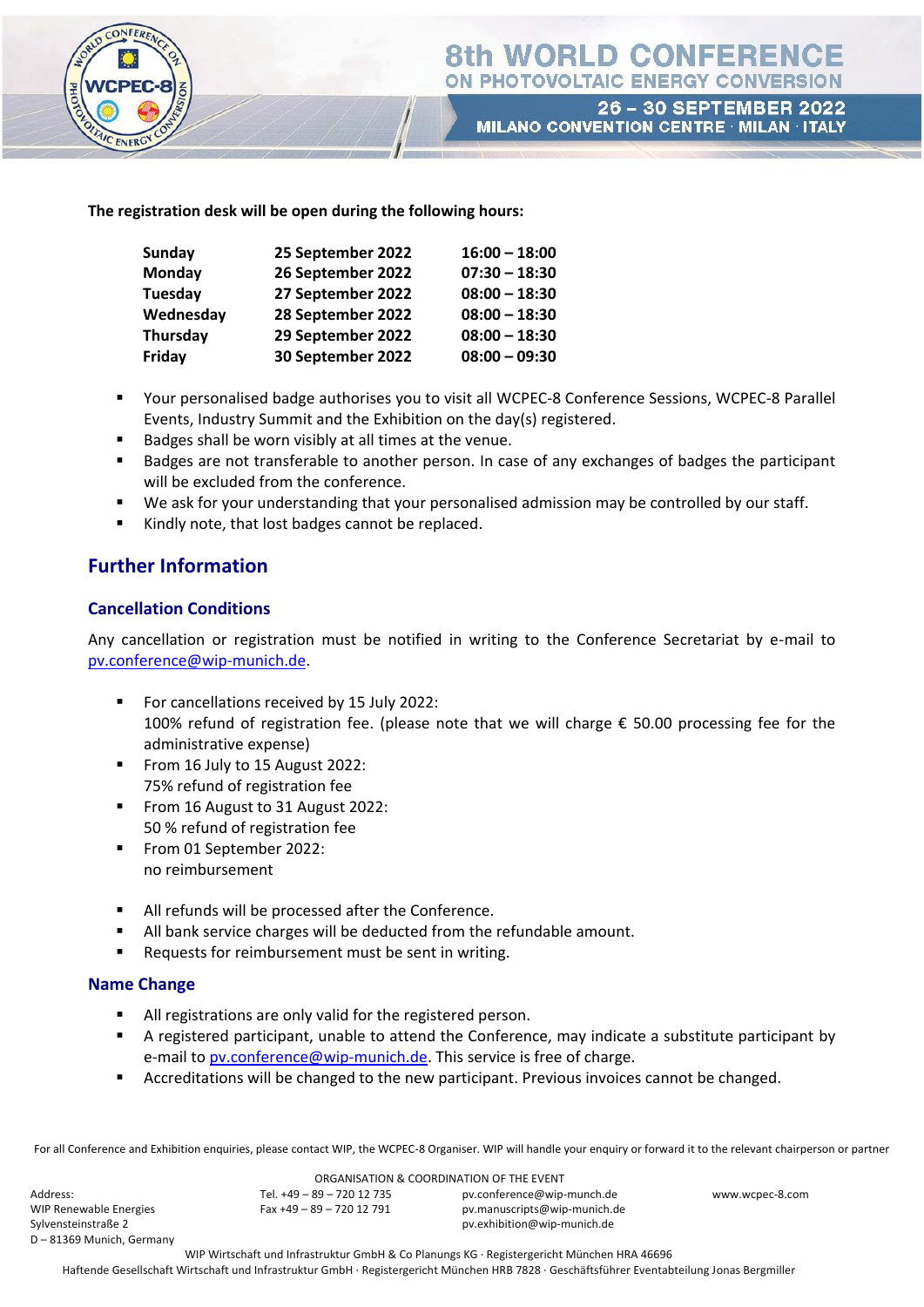

26 - 30 SEPTEMBER 2022 MILANO CONVENTION CENTRE · MILAN · ITALY

#### **The registration desk will be open during the following hours:**

| Sunday    | 25 September 2022 | $16:00 - 18:00$ |
|-----------|-------------------|-----------------|
| Monday    | 26 September 2022 | $07:30 - 18:30$ |
| Tuesday   | 27 September 2022 | $08:00 - 18:30$ |
| Wednesday | 28 September 2022 | $08:00 - 18:30$ |
| Thursday  | 29 September 2022 | $08:00 - 18:30$ |
| Friday    | 30 September 2022 | $08:00 - 09:30$ |

- Your personalised badge authorises you to visit all WCPEC-8 Conference Sessions, WCPEC-8 Parallel Events, Industry Summit and the Exhibition on the day(s) registered.
- Badges shall be worn visibly at all times at the venue.
- Badges are not transferable to another person. In case of any exchanges of badges the participant will be excluded from the conference.
- We ask for your understanding that your personalised admission may be controlled by our staff.
- Kindly note, that lost badges cannot be replaced.

### **Further Information**

### **Cancellation Conditions**

Any cancellation or registration must be notified in writing to the Conference Secretariat by e-mail to [pv.conference@wip-munich.de.](mailto:pv.conference@wip-munich.de)

- For cancellations received by 15 July 2022: 100% refund of registration fee. (please note that we will charge € 50.00 processing fee for the administrative expense)
- From 16 July to 15 August 2022: 75% refund of registration fee
- From 16 August to 31 August 2022: 50 % refund of registration fee
- From 01 September 2022: no reimbursement
- All refunds will be processed after the Conference.
- All bank service charges will be deducted from the refundable amount.
- Requests for reimbursement must be sent in writing.

#### **Name Change**

- All registrations are only valid for the registered person.
- A registered participant, unable to attend the Conference, may indicate a substitute participant by e-mail to [pv.conference@wip-munich.de.](mailto:pv.conference@wip-munich.de) This service is free of charge.
- Accreditations will be changed to the new participant. Previous invoices cannot be changed.

For all Conference and Exhibition enquiries, please contact WIP, the WCPEC-8 Organiser. WIP will handle your enquiry or forward it to the relevant chairperson or partner

Address: WIP Renewable Energies Sylvensteinstraße 2 D – 81369 Munich, Germany

ORGANISATION & COORDINATION OF THE EVENT Tel. +49 – 89 – 720 12 735 Fax +49 – 89 – 720 12 791 pv.conference@wip-munch.de pv.manuscripts@wip-munich.de pv.exhibition@wip-munich.de

www.wcpec-8.com